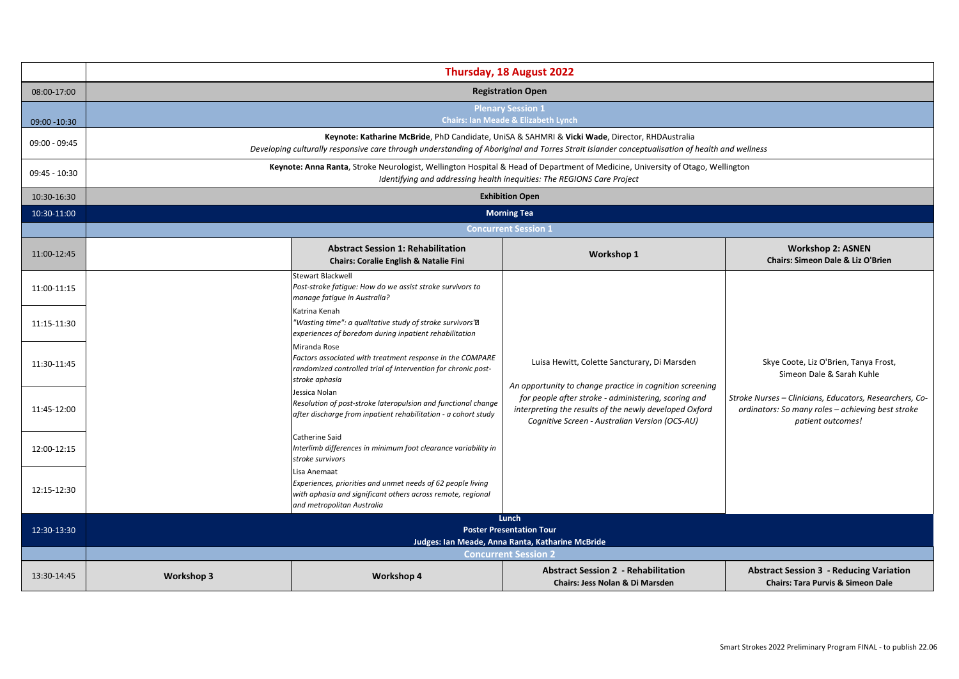|                 | Thursday, 18 August 2022                                                                                                                                                                                                                        |                                                                                                                                                                            |                                                                                                                                                                                                                              |                                                                                                                                   |  |
|-----------------|-------------------------------------------------------------------------------------------------------------------------------------------------------------------------------------------------------------------------------------------------|----------------------------------------------------------------------------------------------------------------------------------------------------------------------------|------------------------------------------------------------------------------------------------------------------------------------------------------------------------------------------------------------------------------|-----------------------------------------------------------------------------------------------------------------------------------|--|
|                 |                                                                                                                                                                                                                                                 |                                                                                                                                                                            |                                                                                                                                                                                                                              |                                                                                                                                   |  |
| 08:00-17:00     | <b>Registration Open</b>                                                                                                                                                                                                                        |                                                                                                                                                                            |                                                                                                                                                                                                                              |                                                                                                                                   |  |
|                 | <b>Plenary Session 1</b>                                                                                                                                                                                                                        |                                                                                                                                                                            |                                                                                                                                                                                                                              |                                                                                                                                   |  |
| 09:00 -10:30    | <b>Chairs: Ian Meade &amp; Elizabeth Lynch</b>                                                                                                                                                                                                  |                                                                                                                                                                            |                                                                                                                                                                                                                              |                                                                                                                                   |  |
| $09:00 - 09:45$ | Keynote: Katharine McBride, PhD Candidate, UniSA & SAHMRI & Vicki Wade, Director, RHDAustralia<br>Developing culturally responsive care through understanding of Aboriginal and Torres Strait Islander conceptualisation of health and wellness |                                                                                                                                                                            |                                                                                                                                                                                                                              |                                                                                                                                   |  |
| $09:45 - 10:30$ | Keynote: Anna Ranta, Stroke Neurologist, Wellington Hospital & Head of Department of Medicine, University of Otago, Wellington<br>Identifying and addressing health inequities: The REGIONS Care Project                                        |                                                                                                                                                                            |                                                                                                                                                                                                                              |                                                                                                                                   |  |
| 10:30-16:30     | <b>Exhibition Open</b>                                                                                                                                                                                                                          |                                                                                                                                                                            |                                                                                                                                                                                                                              |                                                                                                                                   |  |
| 10:30-11:00     | <b>Morning Tea</b>                                                                                                                                                                                                                              |                                                                                                                                                                            |                                                                                                                                                                                                                              |                                                                                                                                   |  |
|                 | <b>Concurrent Session 1</b>                                                                                                                                                                                                                     |                                                                                                                                                                            |                                                                                                                                                                                                                              |                                                                                                                                   |  |
| 11:00-12:45     |                                                                                                                                                                                                                                                 | <b>Abstract Session 1: Rehabilitation</b><br>Chairs: Coralie English & Natalie Fini                                                                                        | Workshop 1                                                                                                                                                                                                                   | <b>Workshop 2: ASNEN</b><br><b>Chairs: Simeon Dale &amp; Liz O'Brien</b>                                                          |  |
| 11:00-11:15     |                                                                                                                                                                                                                                                 | <b>Stewart Blackwell</b><br>Post-stroke fatique: How do we assist stroke survivors to<br>manage fatigue in Australia?                                                      |                                                                                                                                                                                                                              |                                                                                                                                   |  |
| 11:15-11:30     |                                                                                                                                                                                                                                                 | Katrina Kenah<br>"Wasting time": a qualitative study of stroke survivors' $\boldsymbol{\mathsf{\Xi}}^\textsf{M}$<br>experiences of boredom during inpatient rehabilitation |                                                                                                                                                                                                                              |                                                                                                                                   |  |
| 11:30-11:45     |                                                                                                                                                                                                                                                 | Miranda Rose<br>Factors associated with treatment response in the COMPARE<br>randomized controlled trial of intervention for chronic post-<br>stroke aphasia               | Luisa Hewitt, Colette Sancturary, Di Marsden                                                                                                                                                                                 | Skye Coote, Liz O'Brien, Tanya Frost,<br>Simeon Dale & Sarah Kuhle                                                                |  |
| 11:45-12:00     |                                                                                                                                                                                                                                                 | Jessica Nolan<br>Resolution of post-stroke lateropulsion and functional change<br>after discharge from inpatient rehabilitation - a cohort study                           | An opportunity to change practice in cognition screening<br>for people after stroke - administering, scoring and<br>interpreting the results of the newly developed Oxford<br>Cognitive Screen - Australian Version (OCS-AU) | Stroke Nurses - Clinicians, Educators, Researchers, Co-<br>ordinators: So many roles - achieving best stroke<br>patient outcomes! |  |
| 12:00-12:15     |                                                                                                                                                                                                                                                 | <b>Catherine Said</b><br>Interlimb differences in minimum foot clearance variability in<br>stroke survivors                                                                |                                                                                                                                                                                                                              |                                                                                                                                   |  |
| 12:15-12:30     |                                                                                                                                                                                                                                                 | Lisa Anemaat<br>Experiences, priorities and unmet needs of 62 people living<br>with aphasia and significant others across remote, regional<br>and metropolitan Australia   |                                                                                                                                                                                                                              |                                                                                                                                   |  |
|                 | Lunch                                                                                                                                                                                                                                           |                                                                                                                                                                            |                                                                                                                                                                                                                              |                                                                                                                                   |  |
| 12:30-13:30     | <b>Poster Presentation Tour</b><br>Judges: Ian Meade, Anna Ranta, Katharine McBride                                                                                                                                                             |                                                                                                                                                                            |                                                                                                                                                                                                                              |                                                                                                                                   |  |
|                 | <b>Concurrent Session 2</b>                                                                                                                                                                                                                     |                                                                                                                                                                            |                                                                                                                                                                                                                              |                                                                                                                                   |  |
| 13:30-14:45     | <b>Workshop 3</b>                                                                                                                                                                                                                               | <b>Workshop 4</b>                                                                                                                                                          | <b>Abstract Session 2 - Rehabilitation</b><br><b>Chairs: Jess Nolan &amp; Di Marsden</b>                                                                                                                                     | <b>Abstract Session 3 - Reducing Variation</b><br><b>Chairs: Tara Purvis &amp; Simeon Dale</b>                                    |  |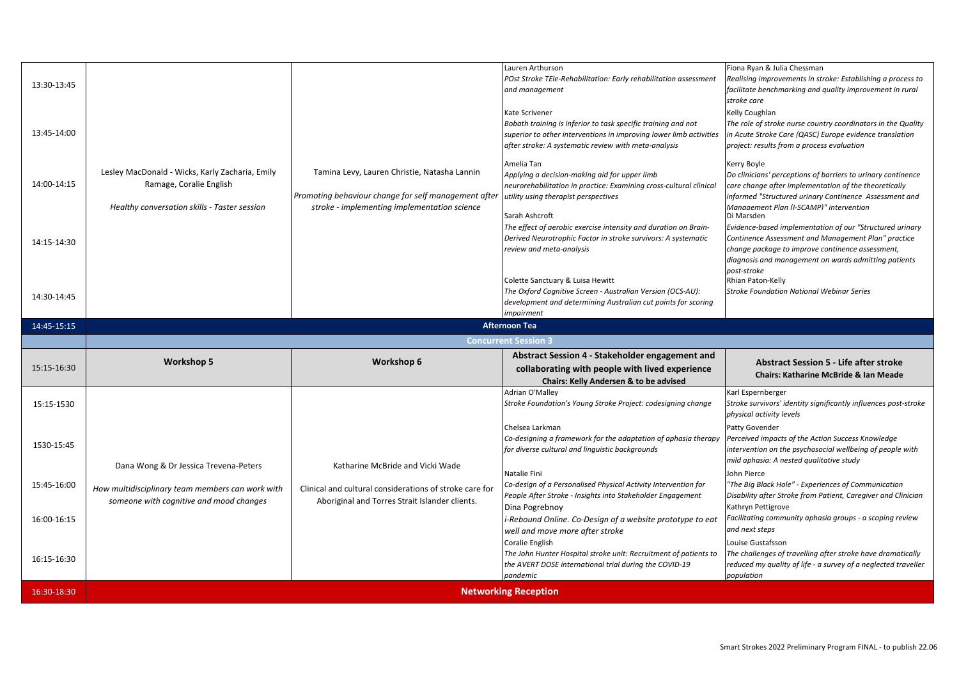|             |                                                  |                                                         | Lauren Arthurson                                                                    | Fiona Ryan & Julia Chessman                                                      |
|-------------|--------------------------------------------------|---------------------------------------------------------|-------------------------------------------------------------------------------------|----------------------------------------------------------------------------------|
| 13:30-13:45 |                                                  |                                                         | POst Stroke TEle-Rehabilitation: Early rehabilitation assessment                    | Realising improvements in stroke: Establishing a process to                      |
|             |                                                  |                                                         | and management                                                                      | facilitate benchmarking and quality improvement in rural<br>stroke care          |
|             |                                                  |                                                         | Kate Scrivener                                                                      | Kelly Coughlan                                                                   |
|             |                                                  |                                                         | Bobath training is inferior to task specific training and not                       | The role of stroke nurse country coordinators in the Quality                     |
| 13:45-14:00 |                                                  |                                                         | superior to other interventions in improving lower limb activities                  | in Acute Stroke Care (QASC) Europe evidence translation                          |
|             |                                                  |                                                         | after stroke: A systematic review with meta-analysis                                | project: results from a process evaluation                                       |
|             |                                                  |                                                         | Amelia Tan                                                                          | Kerry Boyle                                                                      |
|             | Lesley MacDonald - Wicks, Karly Zacharia, Emily  | Tamina Levy, Lauren Christie, Natasha Lannin            | Applying a decision-making aid for upper limb                                       | Do clinicians' perceptions of barriers to urinary continence                     |
| 14:00-14:15 | Ramage, Coralie English                          |                                                         | neurorehabilitation in practice: Examining cross-cultural clinical                  | care change after implementation of the theoretically                            |
|             |                                                  | Promoting behaviour change for self management after    | utility using therapist perspectives                                                | informed "Structured urinary Continence Assessment and                           |
|             | Healthy conversation skills - Taster session     | stroke - implementing implementation science            | Sarah Ashcroft                                                                      | Management Plan (I-SCAMP)" intervention<br>Di Marsden                            |
|             |                                                  |                                                         | The effect of aerobic exercise intensity and duration on Brain-                     | Evidence-based implementation of our "Structured urinary                         |
| 14:15-14:30 |                                                  |                                                         | Derived Neurotrophic Factor in stroke survivors: A systematic                       | Continence Assessment and Management Plan" practice                              |
|             |                                                  |                                                         | review and meta-analysis                                                            | change package to improve continence assessment,                                 |
|             |                                                  |                                                         |                                                                                     | diagnosis and management on wards admitting patients                             |
|             |                                                  |                                                         | Colette Sanctuary & Luisa Hewitt                                                    | post-stroke<br>Rhian Paton-Kelly                                                 |
|             |                                                  |                                                         | The Oxford Cognitive Screen - Australian Version (OCS-AU):                          | <b>Stroke Foundation National Webinar Series</b>                                 |
| 14:30-14:45 |                                                  |                                                         | development and determining Australian cut points for scoring                       |                                                                                  |
|             |                                                  |                                                         | <i>impairment</i>                                                                   |                                                                                  |
| 14:45-15:15 |                                                  |                                                         | <b>Afternoon Tea</b>                                                                |                                                                                  |
|             |                                                  |                                                         |                                                                                     |                                                                                  |
|             |                                                  |                                                         | <b>Concurrent Session 3</b>                                                         |                                                                                  |
|             | <b>Workshop 5</b>                                | Workshop 6                                              | Abstract Session 4 - Stakeholder engagement and                                     | <b>Abstract Session 5 - Life after stroke</b>                                    |
| 15:15-16:30 |                                                  |                                                         | collaborating with people with lived experience                                     | Chairs: Katharine McBride & Ian Meade                                            |
|             |                                                  |                                                         | Chairs: Kelly Andersen & to be advised                                              |                                                                                  |
|             |                                                  |                                                         | Adrian O'Malley                                                                     | Karl Espernberger                                                                |
| 15:15-1530  |                                                  |                                                         | Stroke Foundation's Young Stroke Project: codesigning change                        | Stroke survivors' identity significantly influences post-stroke                  |
|             |                                                  |                                                         | Chelsea Larkman                                                                     | physical activity levels<br>Patty Govender                                       |
|             |                                                  |                                                         | Co-designing a framework for the adaptation of aphasia therapy                      | Perceived impacts of the Action Success Knowledge                                |
| 1530-15:45  |                                                  |                                                         | for diverse cultural and linguistic backgrounds                                     | intervention on the psychosocial wellbeing of people with                        |
|             |                                                  |                                                         |                                                                                     | mild aphasia: A nested qualitative study                                         |
|             | Dana Wong & Dr Jessica Trevena-Peters            | Katharine McBride and Vicki Wade                        | Natalie Fini                                                                        | John Pierce                                                                      |
| 15:45-16:00 | How multidisciplinary team members can work with | Clinical and cultural considerations of stroke care for | Co-design of a Personalised Physical Activity Intervention for                      | "The Big Black Hole" - Experiences of Communication                              |
|             | someone with cognitive and mood changes          | Aboriginal and Torres Strait Islander clients.          | People After Stroke - Insights into Stakeholder Engagement                          | Disability after Stroke from Patient, Caregiver and Clinician                    |
|             |                                                  |                                                         | Dina Pogrebnoy                                                                      | Kathryn Pettigrove                                                               |
| 16:00-16:15 |                                                  |                                                         | -Rebound Online. Co-Design of a website prototype to eat                            | Facilitating community aphasia groups - a scoping review<br>and next steps       |
|             |                                                  |                                                         | well and move more after stroke                                                     |                                                                                  |
|             |                                                  |                                                         | Coralie English<br>The John Hunter Hospital stroke unit: Recruitment of patients to | Louise Gustafsson<br>The challenges of travelling after stroke have dramatically |
| 16:15-16:30 |                                                  |                                                         | the AVERT DOSE international trial during the COVID-19                              | reduced my quality of life - a survey of a neglected traveller                   |
|             |                                                  |                                                         | pandemic                                                                            | population                                                                       |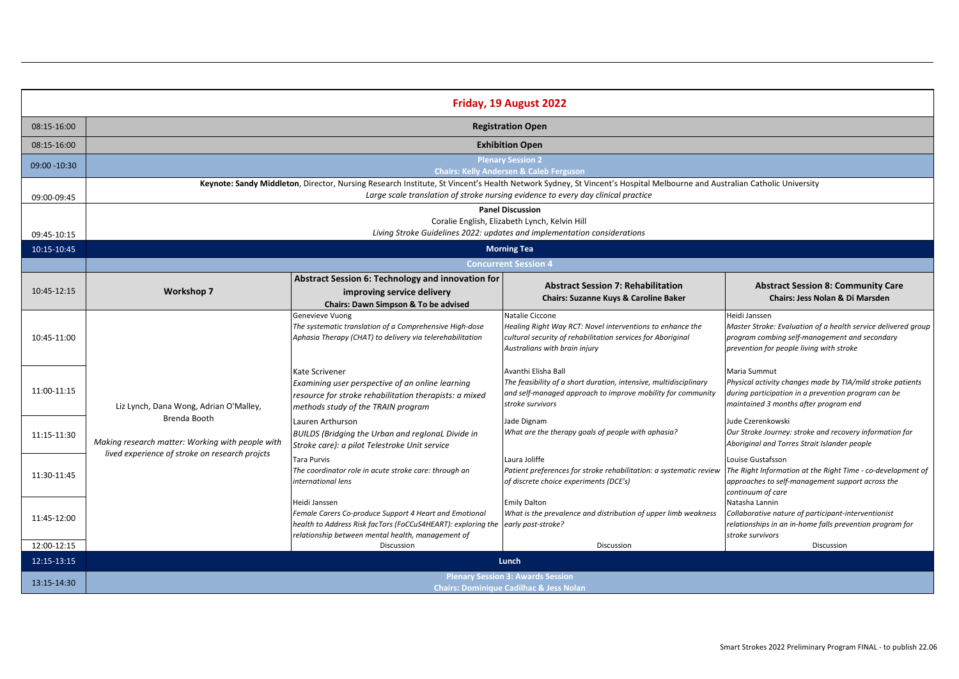| <b>Registration Open</b><br>08:15-16:00<br><b>Exhibition Open</b><br>08:15-16:00<br><b>Plenary Session 2</b><br>09:00 - 10:30<br><b>Chairs: Kelly Andersen &amp; Caleb Ferguson</b><br>Keynote: Sandy Middleton, Director, Nursing Research Institute, St Vincent's Health Network Sydney, St Vincent's Hospital Melbourne and Australian Catholic University<br>Large scale translation of stroke nursing evidence to every day clinical practice<br>09:00-09:45<br><b>Panel Discussion</b><br>Coralie English, Elizabeth Lynch, Kelvin Hill<br>Living Stroke Guidelines 2022: updates and implementation considerations<br>09:45-10:15<br>10:15-10:45<br><b>Morning Tea</b><br><b>Concurrent Session 4</b><br>Abstract Session 6: Technology and innovation for<br><b>Abstract Session 7: Rehabilitation</b><br><b>Abstract Session 8: Community Care</b><br>10:45-12:15<br><b>Workshop 7</b><br>improving service delivery<br><b>Chairs: Suzanne Kuys &amp; Caroline Baker</b><br>Chairs: Jess Nolan & Di Marsden<br>Chairs: Dawn Simpson & To be advised<br>Natalie Ciccone<br>Heidi Janssen<br>Genevieve Vuong<br>The systematic translation of a Comprehensive High-dose<br>Healing Right Way RCT: Novel interventions to enhance the<br>Aphasia Therapy (CHAT) to delivery via telerehabilitation<br>cultural security of rehabilitation services for Aboriginal<br>program combing self-management and secondary<br>10:45-11:00<br>Australians with brain injury<br>prevention for people living with stroke<br>Avanthi Elisha Ball<br>Maria Summut<br>Kate Scrivener<br>The feasibility of a short duration, intensive, multidisciplinary<br>Examining user perspective of an online learning<br>11:00-11:15<br>and self-managed approach to improve mobility for community<br>during participation in a prevention program can be<br>resource for stroke rehabilitation therapists: a mixed<br>stroke survivors<br>maintained 3 months after program end<br>Liz Lynch, Dana Wong, Adrian O'Malley,<br>methods study of the TRAIN program<br>Brenda Booth<br>Lauren Arthurson<br>Jade Dignam<br>Jude Czerenkowski<br>Our Stroke Journey: stroke and recovery information for<br>What are the therapy goals of people with aphasia?<br>BUILDS (Bridging the Urban and reglonal Divide in<br>11:15-11:30<br>Making research matter: Working with people with<br>Aboriginal and Torres Strait Islander people<br>Stroke care): a pilot Telestroke Unit service<br>lived experience of stroke on research projcts<br><b>Tara Purvis</b><br>Laura Joliffe<br>Louise Gustafsson<br>The coordinator role in acute stroke care: through an<br>Patient preferences for stroke rehabilitation: a systematic review<br>11:30-11:45<br>international lens<br>of discrete choice experiments (DCE's)<br>approaches to self-management support across the<br>continuum of care<br>Natasha Lannin<br><b>Emily Dalton</b><br>Heidi Janssen<br>Female Carers Co-produce Support 4 Heart and Emotional<br>What is the prevalence and distribution of upper limb weakness<br>Collaborative nature of participant-interventionist<br>11:45-12:00<br>health to Address Risk facTors (FoCCuS4HEART): exploring the learly post-stroke?<br>relationship between mental health, management of<br>stroke survivors<br>12:00-12:15<br>Discussion<br>Discussion<br>Discussion<br>12:15-13:15<br>Lunch | Friday, 19 August 2022 |                                          |  |  |                                                               |
|-------------------------------------------------------------------------------------------------------------------------------------------------------------------------------------------------------------------------------------------------------------------------------------------------------------------------------------------------------------------------------------------------------------------------------------------------------------------------------------------------------------------------------------------------------------------------------------------------------------------------------------------------------------------------------------------------------------------------------------------------------------------------------------------------------------------------------------------------------------------------------------------------------------------------------------------------------------------------------------------------------------------------------------------------------------------------------------------------------------------------------------------------------------------------------------------------------------------------------------------------------------------------------------------------------------------------------------------------------------------------------------------------------------------------------------------------------------------------------------------------------------------------------------------------------------------------------------------------------------------------------------------------------------------------------------------------------------------------------------------------------------------------------------------------------------------------------------------------------------------------------------------------------------------------------------------------------------------------------------------------------------------------------------------------------------------------------------------------------------------------------------------------------------------------------------------------------------------------------------------------------------------------------------------------------------------------------------------------------------------------------------------------------------------------------------------------------------------------------------------------------------------------------------------------------------------------------------------------------------------------------------------------------------------------------------------------------------------------------------------------------------------------------------------------------------------------------------------------------------------------------------------------------------------------------------------------------------------------------------------------------------------------------------------------------------------------------------------------------------------------------------------------------------------------------------------------------------------------------------------------------------------------------------------------------------------------------------------------------------------------------------|------------------------|------------------------------------------|--|--|---------------------------------------------------------------|
|                                                                                                                                                                                                                                                                                                                                                                                                                                                                                                                                                                                                                                                                                                                                                                                                                                                                                                                                                                                                                                                                                                                                                                                                                                                                                                                                                                                                                                                                                                                                                                                                                                                                                                                                                                                                                                                                                                                                                                                                                                                                                                                                                                                                                                                                                                                                                                                                                                                                                                                                                                                                                                                                                                                                                                                                                                                                                                                                                                                                                                                                                                                                                                                                                                                                                                                                                                                     |                        |                                          |  |  |                                                               |
|                                                                                                                                                                                                                                                                                                                                                                                                                                                                                                                                                                                                                                                                                                                                                                                                                                                                                                                                                                                                                                                                                                                                                                                                                                                                                                                                                                                                                                                                                                                                                                                                                                                                                                                                                                                                                                                                                                                                                                                                                                                                                                                                                                                                                                                                                                                                                                                                                                                                                                                                                                                                                                                                                                                                                                                                                                                                                                                                                                                                                                                                                                                                                                                                                                                                                                                                                                                     |                        |                                          |  |  |                                                               |
|                                                                                                                                                                                                                                                                                                                                                                                                                                                                                                                                                                                                                                                                                                                                                                                                                                                                                                                                                                                                                                                                                                                                                                                                                                                                                                                                                                                                                                                                                                                                                                                                                                                                                                                                                                                                                                                                                                                                                                                                                                                                                                                                                                                                                                                                                                                                                                                                                                                                                                                                                                                                                                                                                                                                                                                                                                                                                                                                                                                                                                                                                                                                                                                                                                                                                                                                                                                     |                        |                                          |  |  |                                                               |
|                                                                                                                                                                                                                                                                                                                                                                                                                                                                                                                                                                                                                                                                                                                                                                                                                                                                                                                                                                                                                                                                                                                                                                                                                                                                                                                                                                                                                                                                                                                                                                                                                                                                                                                                                                                                                                                                                                                                                                                                                                                                                                                                                                                                                                                                                                                                                                                                                                                                                                                                                                                                                                                                                                                                                                                                                                                                                                                                                                                                                                                                                                                                                                                                                                                                                                                                                                                     |                        |                                          |  |  |                                                               |
|                                                                                                                                                                                                                                                                                                                                                                                                                                                                                                                                                                                                                                                                                                                                                                                                                                                                                                                                                                                                                                                                                                                                                                                                                                                                                                                                                                                                                                                                                                                                                                                                                                                                                                                                                                                                                                                                                                                                                                                                                                                                                                                                                                                                                                                                                                                                                                                                                                                                                                                                                                                                                                                                                                                                                                                                                                                                                                                                                                                                                                                                                                                                                                                                                                                                                                                                                                                     |                        |                                          |  |  |                                                               |
|                                                                                                                                                                                                                                                                                                                                                                                                                                                                                                                                                                                                                                                                                                                                                                                                                                                                                                                                                                                                                                                                                                                                                                                                                                                                                                                                                                                                                                                                                                                                                                                                                                                                                                                                                                                                                                                                                                                                                                                                                                                                                                                                                                                                                                                                                                                                                                                                                                                                                                                                                                                                                                                                                                                                                                                                                                                                                                                                                                                                                                                                                                                                                                                                                                                                                                                                                                                     |                        |                                          |  |  |                                                               |
|                                                                                                                                                                                                                                                                                                                                                                                                                                                                                                                                                                                                                                                                                                                                                                                                                                                                                                                                                                                                                                                                                                                                                                                                                                                                                                                                                                                                                                                                                                                                                                                                                                                                                                                                                                                                                                                                                                                                                                                                                                                                                                                                                                                                                                                                                                                                                                                                                                                                                                                                                                                                                                                                                                                                                                                                                                                                                                                                                                                                                                                                                                                                                                                                                                                                                                                                                                                     |                        |                                          |  |  |                                                               |
|                                                                                                                                                                                                                                                                                                                                                                                                                                                                                                                                                                                                                                                                                                                                                                                                                                                                                                                                                                                                                                                                                                                                                                                                                                                                                                                                                                                                                                                                                                                                                                                                                                                                                                                                                                                                                                                                                                                                                                                                                                                                                                                                                                                                                                                                                                                                                                                                                                                                                                                                                                                                                                                                                                                                                                                                                                                                                                                                                                                                                                                                                                                                                                                                                                                                                                                                                                                     |                        |                                          |  |  |                                                               |
|                                                                                                                                                                                                                                                                                                                                                                                                                                                                                                                                                                                                                                                                                                                                                                                                                                                                                                                                                                                                                                                                                                                                                                                                                                                                                                                                                                                                                                                                                                                                                                                                                                                                                                                                                                                                                                                                                                                                                                                                                                                                                                                                                                                                                                                                                                                                                                                                                                                                                                                                                                                                                                                                                                                                                                                                                                                                                                                                                                                                                                                                                                                                                                                                                                                                                                                                                                                     |                        |                                          |  |  |                                                               |
|                                                                                                                                                                                                                                                                                                                                                                                                                                                                                                                                                                                                                                                                                                                                                                                                                                                                                                                                                                                                                                                                                                                                                                                                                                                                                                                                                                                                                                                                                                                                                                                                                                                                                                                                                                                                                                                                                                                                                                                                                                                                                                                                                                                                                                                                                                                                                                                                                                                                                                                                                                                                                                                                                                                                                                                                                                                                                                                                                                                                                                                                                                                                                                                                                                                                                                                                                                                     |                        |                                          |  |  |                                                               |
|                                                                                                                                                                                                                                                                                                                                                                                                                                                                                                                                                                                                                                                                                                                                                                                                                                                                                                                                                                                                                                                                                                                                                                                                                                                                                                                                                                                                                                                                                                                                                                                                                                                                                                                                                                                                                                                                                                                                                                                                                                                                                                                                                                                                                                                                                                                                                                                                                                                                                                                                                                                                                                                                                                                                                                                                                                                                                                                                                                                                                                                                                                                                                                                                                                                                                                                                                                                     |                        |                                          |  |  |                                                               |
|                                                                                                                                                                                                                                                                                                                                                                                                                                                                                                                                                                                                                                                                                                                                                                                                                                                                                                                                                                                                                                                                                                                                                                                                                                                                                                                                                                                                                                                                                                                                                                                                                                                                                                                                                                                                                                                                                                                                                                                                                                                                                                                                                                                                                                                                                                                                                                                                                                                                                                                                                                                                                                                                                                                                                                                                                                                                                                                                                                                                                                                                                                                                                                                                                                                                                                                                                                                     |                        |                                          |  |  |                                                               |
|                                                                                                                                                                                                                                                                                                                                                                                                                                                                                                                                                                                                                                                                                                                                                                                                                                                                                                                                                                                                                                                                                                                                                                                                                                                                                                                                                                                                                                                                                                                                                                                                                                                                                                                                                                                                                                                                                                                                                                                                                                                                                                                                                                                                                                                                                                                                                                                                                                                                                                                                                                                                                                                                                                                                                                                                                                                                                                                                                                                                                                                                                                                                                                                                                                                                                                                                                                                     |                        |                                          |  |  |                                                               |
|                                                                                                                                                                                                                                                                                                                                                                                                                                                                                                                                                                                                                                                                                                                                                                                                                                                                                                                                                                                                                                                                                                                                                                                                                                                                                                                                                                                                                                                                                                                                                                                                                                                                                                                                                                                                                                                                                                                                                                                                                                                                                                                                                                                                                                                                                                                                                                                                                                                                                                                                                                                                                                                                                                                                                                                                                                                                                                                                                                                                                                                                                                                                                                                                                                                                                                                                                                                     |                        |                                          |  |  | Master Stroke: Evaluation of a health service delivered group |
|                                                                                                                                                                                                                                                                                                                                                                                                                                                                                                                                                                                                                                                                                                                                                                                                                                                                                                                                                                                                                                                                                                                                                                                                                                                                                                                                                                                                                                                                                                                                                                                                                                                                                                                                                                                                                                                                                                                                                                                                                                                                                                                                                                                                                                                                                                                                                                                                                                                                                                                                                                                                                                                                                                                                                                                                                                                                                                                                                                                                                                                                                                                                                                                                                                                                                                                                                                                     |                        |                                          |  |  |                                                               |
|                                                                                                                                                                                                                                                                                                                                                                                                                                                                                                                                                                                                                                                                                                                                                                                                                                                                                                                                                                                                                                                                                                                                                                                                                                                                                                                                                                                                                                                                                                                                                                                                                                                                                                                                                                                                                                                                                                                                                                                                                                                                                                                                                                                                                                                                                                                                                                                                                                                                                                                                                                                                                                                                                                                                                                                                                                                                                                                                                                                                                                                                                                                                                                                                                                                                                                                                                                                     |                        |                                          |  |  |                                                               |
|                                                                                                                                                                                                                                                                                                                                                                                                                                                                                                                                                                                                                                                                                                                                                                                                                                                                                                                                                                                                                                                                                                                                                                                                                                                                                                                                                                                                                                                                                                                                                                                                                                                                                                                                                                                                                                                                                                                                                                                                                                                                                                                                                                                                                                                                                                                                                                                                                                                                                                                                                                                                                                                                                                                                                                                                                                                                                                                                                                                                                                                                                                                                                                                                                                                                                                                                                                                     |                        |                                          |  |  |                                                               |
|                                                                                                                                                                                                                                                                                                                                                                                                                                                                                                                                                                                                                                                                                                                                                                                                                                                                                                                                                                                                                                                                                                                                                                                                                                                                                                                                                                                                                                                                                                                                                                                                                                                                                                                                                                                                                                                                                                                                                                                                                                                                                                                                                                                                                                                                                                                                                                                                                                                                                                                                                                                                                                                                                                                                                                                                                                                                                                                                                                                                                                                                                                                                                                                                                                                                                                                                                                                     |                        |                                          |  |  | Physical activity changes made by TIA/mild stroke patients    |
|                                                                                                                                                                                                                                                                                                                                                                                                                                                                                                                                                                                                                                                                                                                                                                                                                                                                                                                                                                                                                                                                                                                                                                                                                                                                                                                                                                                                                                                                                                                                                                                                                                                                                                                                                                                                                                                                                                                                                                                                                                                                                                                                                                                                                                                                                                                                                                                                                                                                                                                                                                                                                                                                                                                                                                                                                                                                                                                                                                                                                                                                                                                                                                                                                                                                                                                                                                                     |                        |                                          |  |  |                                                               |
|                                                                                                                                                                                                                                                                                                                                                                                                                                                                                                                                                                                                                                                                                                                                                                                                                                                                                                                                                                                                                                                                                                                                                                                                                                                                                                                                                                                                                                                                                                                                                                                                                                                                                                                                                                                                                                                                                                                                                                                                                                                                                                                                                                                                                                                                                                                                                                                                                                                                                                                                                                                                                                                                                                                                                                                                                                                                                                                                                                                                                                                                                                                                                                                                                                                                                                                                                                                     |                        |                                          |  |  |                                                               |
|                                                                                                                                                                                                                                                                                                                                                                                                                                                                                                                                                                                                                                                                                                                                                                                                                                                                                                                                                                                                                                                                                                                                                                                                                                                                                                                                                                                                                                                                                                                                                                                                                                                                                                                                                                                                                                                                                                                                                                                                                                                                                                                                                                                                                                                                                                                                                                                                                                                                                                                                                                                                                                                                                                                                                                                                                                                                                                                                                                                                                                                                                                                                                                                                                                                                                                                                                                                     |                        |                                          |  |  |                                                               |
|                                                                                                                                                                                                                                                                                                                                                                                                                                                                                                                                                                                                                                                                                                                                                                                                                                                                                                                                                                                                                                                                                                                                                                                                                                                                                                                                                                                                                                                                                                                                                                                                                                                                                                                                                                                                                                                                                                                                                                                                                                                                                                                                                                                                                                                                                                                                                                                                                                                                                                                                                                                                                                                                                                                                                                                                                                                                                                                                                                                                                                                                                                                                                                                                                                                                                                                                                                                     |                        |                                          |  |  |                                                               |
|                                                                                                                                                                                                                                                                                                                                                                                                                                                                                                                                                                                                                                                                                                                                                                                                                                                                                                                                                                                                                                                                                                                                                                                                                                                                                                                                                                                                                                                                                                                                                                                                                                                                                                                                                                                                                                                                                                                                                                                                                                                                                                                                                                                                                                                                                                                                                                                                                                                                                                                                                                                                                                                                                                                                                                                                                                                                                                                                                                                                                                                                                                                                                                                                                                                                                                                                                                                     |                        |                                          |  |  |                                                               |
|                                                                                                                                                                                                                                                                                                                                                                                                                                                                                                                                                                                                                                                                                                                                                                                                                                                                                                                                                                                                                                                                                                                                                                                                                                                                                                                                                                                                                                                                                                                                                                                                                                                                                                                                                                                                                                                                                                                                                                                                                                                                                                                                                                                                                                                                                                                                                                                                                                                                                                                                                                                                                                                                                                                                                                                                                                                                                                                                                                                                                                                                                                                                                                                                                                                                                                                                                                                     |                        |                                          |  |  | The Right Information at the Right Time - co-development of   |
|                                                                                                                                                                                                                                                                                                                                                                                                                                                                                                                                                                                                                                                                                                                                                                                                                                                                                                                                                                                                                                                                                                                                                                                                                                                                                                                                                                                                                                                                                                                                                                                                                                                                                                                                                                                                                                                                                                                                                                                                                                                                                                                                                                                                                                                                                                                                                                                                                                                                                                                                                                                                                                                                                                                                                                                                                                                                                                                                                                                                                                                                                                                                                                                                                                                                                                                                                                                     |                        |                                          |  |  |                                                               |
|                                                                                                                                                                                                                                                                                                                                                                                                                                                                                                                                                                                                                                                                                                                                                                                                                                                                                                                                                                                                                                                                                                                                                                                                                                                                                                                                                                                                                                                                                                                                                                                                                                                                                                                                                                                                                                                                                                                                                                                                                                                                                                                                                                                                                                                                                                                                                                                                                                                                                                                                                                                                                                                                                                                                                                                                                                                                                                                                                                                                                                                                                                                                                                                                                                                                                                                                                                                     |                        |                                          |  |  |                                                               |
|                                                                                                                                                                                                                                                                                                                                                                                                                                                                                                                                                                                                                                                                                                                                                                                                                                                                                                                                                                                                                                                                                                                                                                                                                                                                                                                                                                                                                                                                                                                                                                                                                                                                                                                                                                                                                                                                                                                                                                                                                                                                                                                                                                                                                                                                                                                                                                                                                                                                                                                                                                                                                                                                                                                                                                                                                                                                                                                                                                                                                                                                                                                                                                                                                                                                                                                                                                                     |                        |                                          |  |  |                                                               |
|                                                                                                                                                                                                                                                                                                                                                                                                                                                                                                                                                                                                                                                                                                                                                                                                                                                                                                                                                                                                                                                                                                                                                                                                                                                                                                                                                                                                                                                                                                                                                                                                                                                                                                                                                                                                                                                                                                                                                                                                                                                                                                                                                                                                                                                                                                                                                                                                                                                                                                                                                                                                                                                                                                                                                                                                                                                                                                                                                                                                                                                                                                                                                                                                                                                                                                                                                                                     |                        |                                          |  |  | relationships in an in-home falls prevention program for      |
|                                                                                                                                                                                                                                                                                                                                                                                                                                                                                                                                                                                                                                                                                                                                                                                                                                                                                                                                                                                                                                                                                                                                                                                                                                                                                                                                                                                                                                                                                                                                                                                                                                                                                                                                                                                                                                                                                                                                                                                                                                                                                                                                                                                                                                                                                                                                                                                                                                                                                                                                                                                                                                                                                                                                                                                                                                                                                                                                                                                                                                                                                                                                                                                                                                                                                                                                                                                     |                        |                                          |  |  |                                                               |
|                                                                                                                                                                                                                                                                                                                                                                                                                                                                                                                                                                                                                                                                                                                                                                                                                                                                                                                                                                                                                                                                                                                                                                                                                                                                                                                                                                                                                                                                                                                                                                                                                                                                                                                                                                                                                                                                                                                                                                                                                                                                                                                                                                                                                                                                                                                                                                                                                                                                                                                                                                                                                                                                                                                                                                                                                                                                                                                                                                                                                                                                                                                                                                                                                                                                                                                                                                                     |                        |                                          |  |  |                                                               |
|                                                                                                                                                                                                                                                                                                                                                                                                                                                                                                                                                                                                                                                                                                                                                                                                                                                                                                                                                                                                                                                                                                                                                                                                                                                                                                                                                                                                                                                                                                                                                                                                                                                                                                                                                                                                                                                                                                                                                                                                                                                                                                                                                                                                                                                                                                                                                                                                                                                                                                                                                                                                                                                                                                                                                                                                                                                                                                                                                                                                                                                                                                                                                                                                                                                                                                                                                                                     |                        |                                          |  |  |                                                               |
| 13:15-14:30<br><b>Chairs: Dominique Cadilhac &amp; Jess Nolan</b>                                                                                                                                                                                                                                                                                                                                                                                                                                                                                                                                                                                                                                                                                                                                                                                                                                                                                                                                                                                                                                                                                                                                                                                                                                                                                                                                                                                                                                                                                                                                                                                                                                                                                                                                                                                                                                                                                                                                                                                                                                                                                                                                                                                                                                                                                                                                                                                                                                                                                                                                                                                                                                                                                                                                                                                                                                                                                                                                                                                                                                                                                                                                                                                                                                                                                                                   |                        | <b>Plenary Session 3: Awards Session</b> |  |  |                                                               |